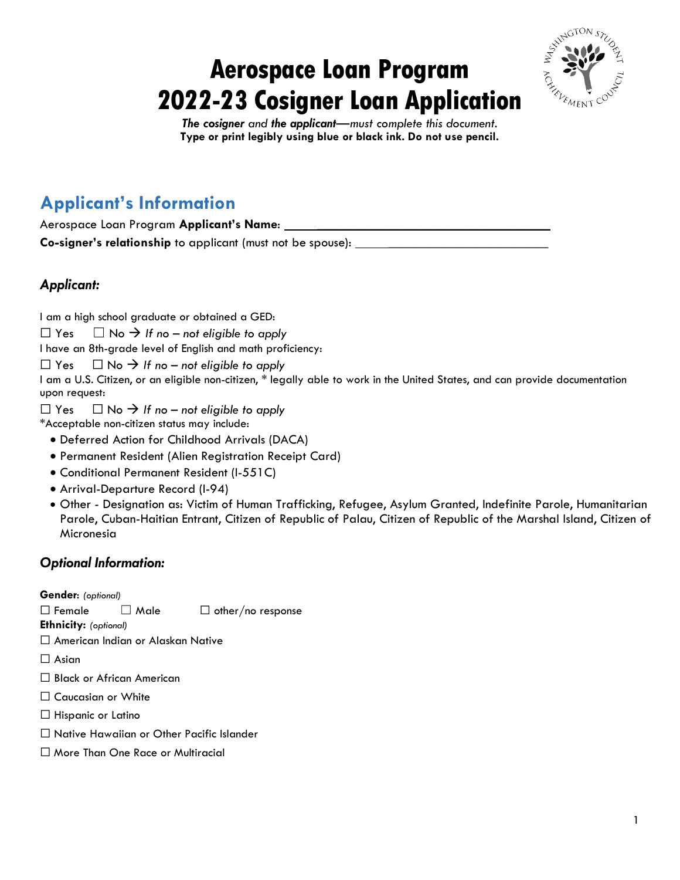# **Aerospace Loan Program 2022-23 Cosigner Loan Application**



*The cosigner and the applicant—must complete this document.*  **Type or print legibly using blue or black ink. Do not use pencil.**

### **Applicant's Information**

| Aerospace Loan Program Applicant's Name:                    |  |
|-------------------------------------------------------------|--|
| Co-signer's relationship to applicant (must not be spouse): |  |

### *Applicant:*

I am a high school graduate or obtained a GED:

 $\Box$  Yes  $\Box$  No  $\rightarrow$  If no – not eligible to apply

I have an 8th-grade level of English and math proficiency:

 $\Box$  Yes  $\Box$  No  $\rightarrow$  If no – not eligible to apply

I am a U.S. Citizen, or an eligible non-citizen, \* legally able to work in the United States, and can provide documentation upon request:

 $\Box$  Yes  $\Box$  No  $\rightarrow$  If no – not eligible to apply

\*Acceptable non-citizen status may include:

- Deferred Action for Childhood Arrivals (DACA)
- Permanent Resident (Alien Registration Receipt Card)
- Conditional Permanent Resident (I-551C)
- Arrival-Departure Record (I-94)
- Other Designation as: Victim of Human Trafficking, Refugee, Asylum Granted, Indefinite Parole, Humanitarian Parole, Cuban-Haitian Entrant, Citizen of Republic of Palau, Citizen of Republic of the Marshal Island, Citizen of Micronesia

#### *Optional Information:*

**Gender**: *(optional)*

 $\Box$  Female  $\Box$  Male  $\Box$  other/no response

**Ethnicity:** *(optional)*

☐ American Indian or Alaskan Native

□ Asian

- ☐ Black or African American
- □ Caucasian or White
- ☐ Hispanic or Latino
- ☐ Native Hawaiian or Other Pacific Islander
- ☐ More Than One Race or Multiracial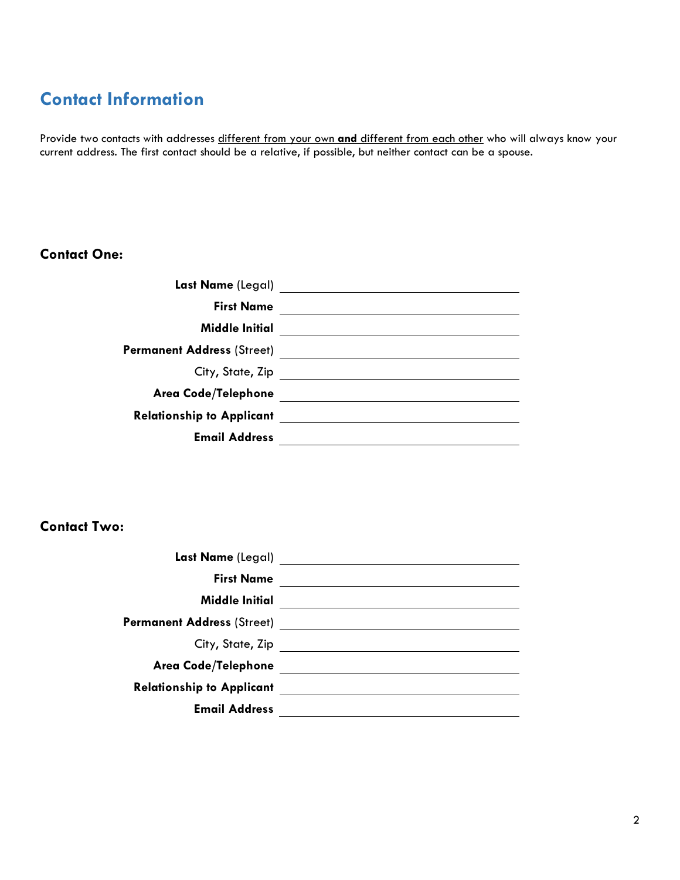## **Contact Information**

Provide two contacts with addresses different from your own **and** different from each other who will always know your current address. The first contact should be a relative, if possible, but neither contact can be a spouse.

#### **Contact One:**

| Last Name (Legal)                 |  |
|-----------------------------------|--|
| <b>First Name</b>                 |  |
| <b>Middle Initial</b>             |  |
| <b>Permanent Address (Street)</b> |  |
| City, State, Zip                  |  |
| Area Code/Telephone               |  |
| <b>Relationship to Applicant</b>  |  |
| <b>Email Address</b>              |  |
|                                   |  |

#### **Contact Two:**

| <b>First Name</b>                 |                                                         |
|-----------------------------------|---------------------------------------------------------|
| <b>Middle Initial</b>             |                                                         |
| <b>Permanent Address (Street)</b> | <u> 1989 - Andrea State Barbara, política establece</u> |
| City, State, Zip                  |                                                         |
| <b>Area Code/Telephone</b>        |                                                         |
| <b>Relationship to Applicant</b>  |                                                         |
| <b>Email Address</b>              |                                                         |